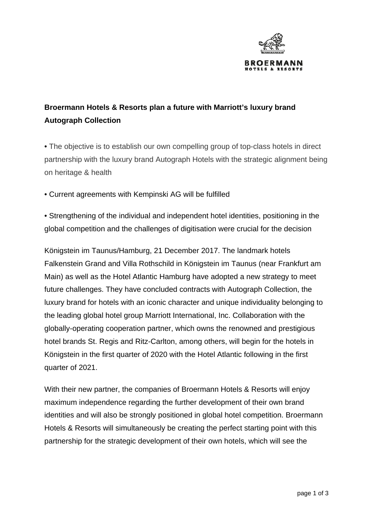

## **Broermann Hotels & Resorts plan a future with Marriott's luxury brand Autograph Collection**

• The objective is to establish our own compelling group of top-class hotels in direct partnership with the luxury brand Autograph Hotels with the strategic alignment being on heritage & health

• Current agreements with Kempinski AG will be fulfilled

• Strengthening of the individual and independent hotel identities, positioning in the global competition and the challenges of digitisation were crucial for the decision

Königstein im Taunus/Hamburg, 21 December 2017. The landmark hotels Falkenstein Grand and Villa Rothschild in Königstein im Taunus (near Frankfurt am Main) as well as the Hotel Atlantic Hamburg have adopted a new strategy to meet future challenges. They have concluded contracts with Autograph Collection, the luxury brand for hotels with an iconic character and unique individuality belonging to the leading global hotel group Marriott International, Inc. Collaboration with the globally-operating cooperation partner, which owns the renowned and prestigious hotel brands St. Regis and Ritz-Carlton, among others, will begin for the hotels in Königstein in the first quarter of 2020 with the Hotel Atlantic following in the first quarter of 2021.

With their new partner, the companies of Broermann Hotels & Resorts will enjoy maximum independence regarding the further development of their own brand identities and will also be strongly positioned in global hotel competition. Broermann Hotels & Resorts will simultaneously be creating the perfect starting point with this partnership for the strategic development of their own hotels, which will see the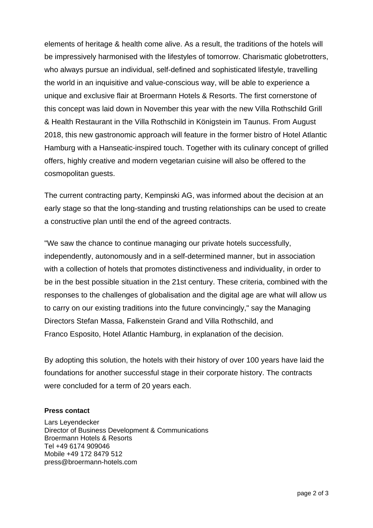elements of heritage & health come alive. As a result, the traditions of the hotels will be impressively harmonised with the lifestyles of tomorrow. Charismatic globetrotters, who always pursue an individual, self-defined and sophisticated lifestyle, travelling the world in an inquisitive and value-conscious way, will be able to experience a unique and exclusive flair at Broermann Hotels & Resorts. The first cornerstone of this concept was laid down in November this year with the new Villa Rothschild Grill & Health Restaurant in the Villa Rothschild in Königstein im Taunus. From August 2018, this new gastronomic approach will feature in the former bistro of Hotel Atlantic Hamburg with a Hanseatic-inspired touch. Together with its culinary concept of grilled offers, highly creative and modern vegetarian cuisine will also be offered to the cosmopolitan guests.

The current contracting party, Kempinski AG, was informed about the decision at an early stage so that the long-standing and trusting relationships can be used to create a constructive plan until the end of the agreed contracts.

"We saw the chance to continue managing our private hotels successfully, independently, autonomously and in a self-determined manner, but in association with a collection of hotels that promotes distinctiveness and individuality, in order to be in the best possible situation in the 21st century. These criteria, combined with the responses to the challenges of globalisation and the digital age are what will allow us to carry on our existing traditions into the future convincingly," say the Managing Directors Stefan Massa, Falkenstein Grand and Villa Rothschild, and Franco Esposito, Hotel Atlantic Hamburg, in explanation of the decision.

By adopting this solution, the hotels with their history of over 100 years have laid the foundations for another successful stage in their corporate history. The contracts were concluded for a term of 20 years each.

## **Press contact**

Lars Leyendecker Director of Business Development & Communications Broermann Hotels & Resorts Tel +49 6174 909046 Mobile +49 172 8479 512 press@broermann-hotels.com